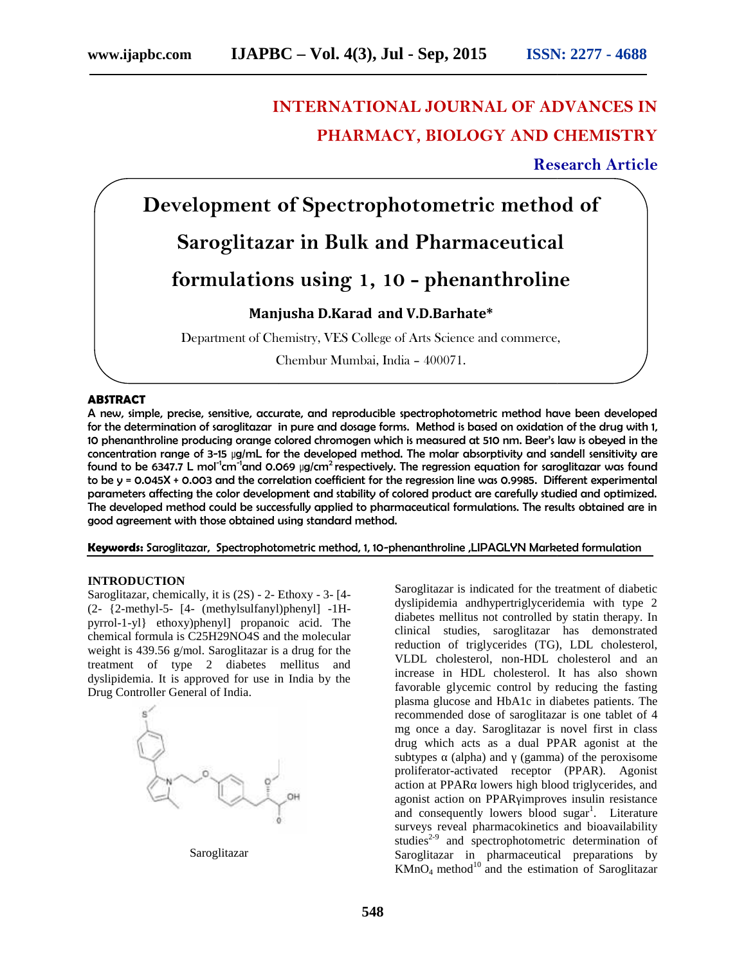# **INTERNATIONAL JOURNAL OF ADVANCES IN PHARMACY, BIOLOGY AND CHEMISTRY**

# **Research Article Research Article**



Chembur Mumbai, India – 400071. Chembur

#### **ABSTRACT ABSTRACT**

A new, simple, precise, sensitive, accurate, and reproducible spectrophotometric method have been developed precise,for the determination of saroglitazar in pure and dosage forms. Method is based on oxidation of the drug with 1, 10 phenanthroline producing orange colored chromogen which is measured at 510 nm. Beer's law is obeyed in the concentration range of 3-15 µg/mL for the developed method. The molar absorptivity and sandell sensitivity are 10 phenanthroline producing orange colored chromogen which is measured at 510 nm. Beer's law is obeyed in the<br>concentration range of 3-15 µg/mL for the developed method. The molar absorptivity and sandell sensitivity are<br>f to be y = 0.045X + 0.003 and the correlation coefficient for the regression line was 0.9985. Different experimental parameters affecting the color development and stability of colored product are carefully studied and optimized. The developed method could be successfully applied to pharmaceutical formulations. The results obtained are in good agreement with those obtained using standard method. good agreement with those obtained using standard method.<br>**Keywords:** Saroglitazar, Spectrophotometric method, 1, 10-phenanthroline ,LIPAGLYN Marketed formulation to be y = 0.045X + 0.003 and the correlation coefficient for the regression line was 0.9985. Different experimental<br>parameters affecting the color development and stability of colored product are carefully studied and opti

#### **INTRODUCTION**

Saroglitazar, chemically, it is (2S) - 2- Ethoxy - 3- [4-(2- {2-methyl-5- [4- (methylsulfanyl)phenyl] -1H pyrrol-1-yl} ethoxy)phenyl] propanoic acid. The chemical formula is C25H29NO4S and the molecular weight is 439.56 g/mol. Saroglitazar is a drug for the treatment of type 2 diabetes mellitus and dyslipidemia. It is approved for use in India by the Drug Controller General of India.



Saroglitazar

Saroglitazar is indicated for the treatment of diabetic dyslipidemia andhypertriglyceridemia with type 2 diabetes mellitus not controlled by statin therapy. In clinical studies, saroglitazar has demonstrated reduction of triglycerides (TG), LDL cholesterol, VLDL cholesterol, non-HDL cholesterol and an increase in HDL cholesterol. It has also shown reduction of triglycerides (TG), LDL cholesterol,<br>VLDL cholesterol, non-HDL cholesterol and an<br>increase in HDL cholesterol. It has also shown<br>favorable glycemic control by reducing the fasting plasma glucose and HbA1c in diabetes patients. The recommended dose of saroglitazar is one tablet of 4 mg once a day. Saroglitazar is novel first in class mg once a day. Saroglitazar is novel first in class<br>drug which acts as a dual PPAR agonist at the subtypes (alpha) and (gamma) of the peroxisome proliferator-activated receptor (PPAR). Agonist action at PPAR lowers high blood triglycerides, and agonist action on PPAR improves insulin resistance and consequently lowers blood sugar<sup>1</sup>. Literature surveys reveal pharmacokinetics and bioavailability studies $2-9$  and spectrophotometric determination of Saroglitazar in pharmaceutical preparations by  $KMnO<sub>4</sub>$  method<sup>10</sup> and the estimation of Saroglitazar Saroglitazar, chemically, it is (2S) - 2- Ethoxy - 3- [4-<br>
(2- {2-methyl-5- [4- (methylsulfanyl)phenyl] -1H-<br>
pyrrol-1-yl} ethoxy)phenyl] propanoic acid. The<br>
chemical formula is C25H29NO4S and the molecular<br>
weight is 439 brauching and (gamma) of the peroxisome<br>ivated receptor (PPAR). Agonist<br>lowers high blood triglycerides, and<br>on PPAR improves insulin resistance blood sugar<sup>1</sup>. Literature<br>inetics and bioavailability<br>ometric determination of<br>eutical preparations by **Bulk and Pharmaceutia**<br>
ing 1, 10 – phenanthrol<br>
Marad and V.D.Barhate\*<br>
VES College of Arts Science and comme<br>
Mumbai, India – 400071.<br>
I reproducible spectrophotometric method<br>
ord dosage forms. Method is bosed on oxide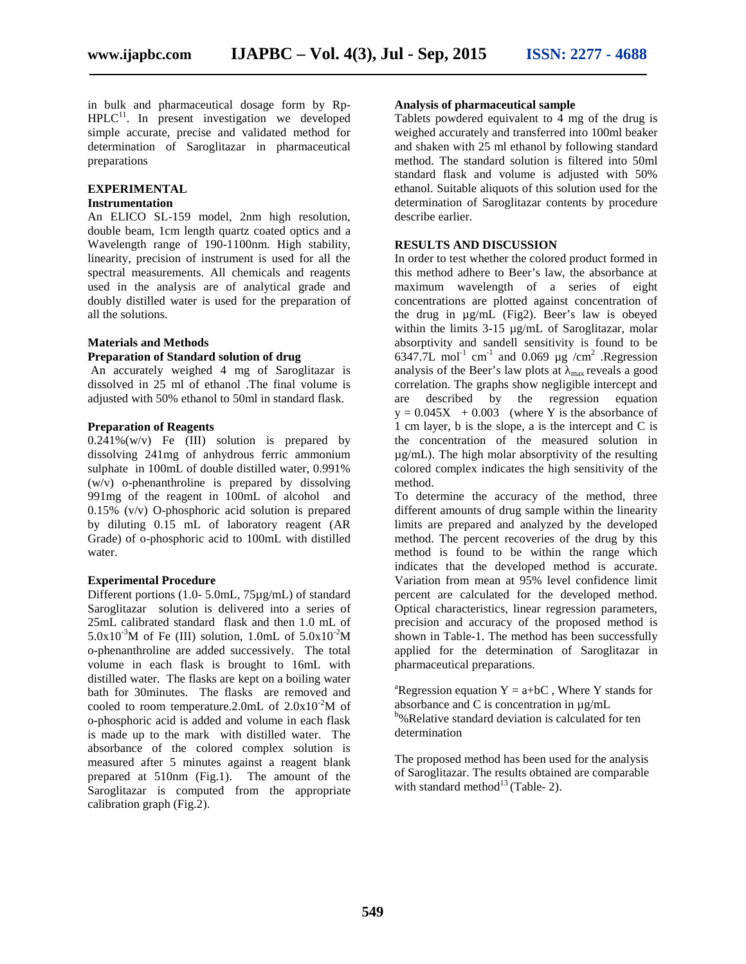in bulk and pharmaceutical dosage form by Rp-  $HPLC<sup>11</sup>$ . In present investigation we developed simple accurate, precise and validated method for determination of Saroglitazar in pharmaceutical preparations

#### **EXPERIMENTAL**

#### **Instrumentation**

An ELICO SL-159 model, 2nm high resolution, double beam, 1cm length quartz coated optics and a Wavelength range of 190-1100nm. High stability, linearity, precision of instrument is used for all the spectral measurements. All chemicals and reagents used in the analysis are of analytical grade and doubly distilled water is used for the preparation of all the solutions.

## **Materials and Methods**

#### **Preparation of Standard solution of drug**

An accurately weighed 4 mg of Saroglitazar is dissolved in 25 ml of ethanol .The final volume is adjusted with 50% ethanol to 50ml in standard flask.

#### **Preparation of Reagents**

 $0.241\%$ (w/v) Fe (III) solution is prepared by dissolving 241mg of anhydrous ferric ammonium sulphate in 100mL of double distilled water, 0.991%  $(w/v)$  o-phenanthroline is prepared by dissolving 991mg of the reagent in 100mL of alcohol and 0.15% (v/v) O-phosphoric acid solution is prepared by diluting 0.15 mL of laboratory reagent (AR Grade) of o-phosphoric acid to 100mL with distilled water.

#### **Experimental Procedure**

Different portions (1.0- 5.0mL, 75µg/mL) of standard Saroglitazar solution is delivered into a series of 25mL calibrated standard flask and then 1.0 mL of 5.0x10<sup>-3</sup>M of Fe (III) solution, 1.0mL of  $5.0x10^{-2}M$ o-phenanthroline are added successively. The total volume in each flask is brought to 16mL with distilled water. The flasks are kept on a boiling water bath for 30minutes. The flasks are removed and cooled to room temperature.2.0mL of  $2.0x10^{-2}M$  of o-phosphoric acid is added and volume in each flask is made up to the mark with distilled water. The absorbance of the colored complex solution is measured after 5 minutes against a reagent blank prepared at 510nm (Fig.1). The amount of the Saroglitazar is computed from the appropriate calibration graph (Fig.2).

#### **Analysis of pharmaceutical sample**

Tablets powdered equivalent to  $\overline{4}$  mg of the drug is weighed accurately and transferred into 100ml beaker and shaken with 25 ml ethanol by following standard method. The standard solution is filtered into 50ml standard flask and volume is adjusted with 50% ethanol. Suitable aliquots of this solution used for the determination of Saroglitazar contents by procedure describe earlier.

#### **RESULTS AND DISCUSSION**

In order to test whether the colored product formed in this method adhere to Beer's law, the absorbance at maximum wavelength of a series of eight concentrations are plotted against concentration of the drug in µg/mL (Fig2). Beer's law is obeyed within the limits 3-15  $\mu$ g/mL of Saroglitazar, molar absorptivity and sandell sensitivity is found to be 6347.7L mol<sup>-1</sup> cm<sup>-1</sup> and 0.069  $\mu$ g /cm<sup>2</sup> .Regression analysis of the Beer's law plots at  $_{\text{max}}$  reveals a good correlation. The graphs show negligible intercept and are described by the regression equation  $y = 0.045X + 0.003$  (where Y is the absorbance of 1 cm layer, b is the slope, a is the intercept and C is the concentration of the measured solution in µg/mL). The high molar absorptivity of the resulting colored complex indicates the high sensitivity of the method.

To determine the accuracy of the method, three different amounts of drug sample within the linearity limits are prepared and analyzed by the developed method. The percent recoveries of the drug by this method is found to be within the range which indicates that the developed method is accurate. Variation from mean at 95% level confidence limit percent are calculated for the developed method. Optical characteristics, linear regression parameters, precision and accuracy of the proposed method is shown in Table-1. The method has been successfully applied for the determination of Saroglitazar in pharmaceutical preparations.

<sup>a</sup>Regression equation  $Y = a+bC$ , Where Y stands for absorbance and C is concentration in µg/mL <sup>b</sup>%Relative standard deviation is calculated for ten determination

The proposed method has been used for the analysis of Saroglitazar. The results obtained are comparable with standard method<sup>13</sup> (Table- 2).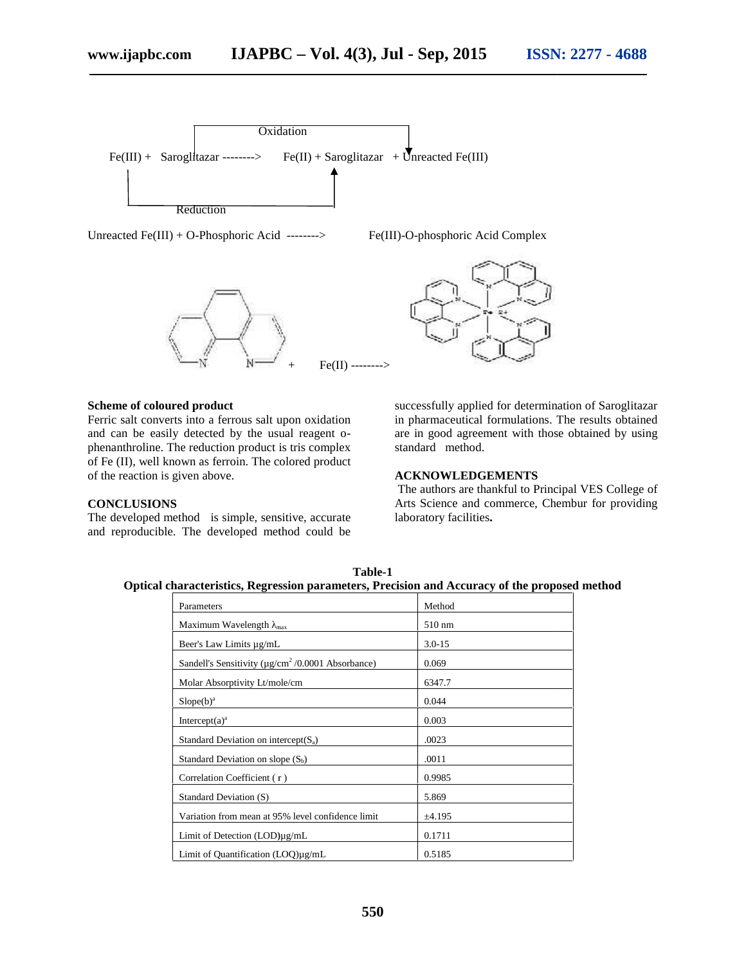

Unreacted Fe(III) + O-Phosphoric Acid --------> Fe(III)-O-phosphoric Acid Complex





#### **Scheme of coloured product**

Ferric salt converts into a ferrous salt upon oxidation and can be easily detected by the usual reagent o phenanthroline. The reduction product is tris complex of Fe (II), well known as ferroin. The colored product of the reaction is given above.

#### **CONCLUSIONS**

The developed method is simple, sensitive, accurate and reproducible. The developed method could be

successfully applied for determination of Saroglitazar in pharmaceutical formulations. The results obtained are in good agreement with those obtained by using standard method.

#### **ACKNOWLEDGEMENTS**

The authors are thankful to Principal VES College of Arts Science and commerce, Chembur for providing laboratory facilities**.**

| <b>Table-1</b>                                                                                |  |
|-----------------------------------------------------------------------------------------------|--|
| Optical characteristics, Regression parameters, Precision and Accuracy of the proposed method |  |

| Parameters                                                          | Method           |
|---------------------------------------------------------------------|------------------|
| Maximum Wavelength $_{\text{max}}$                                  | $510 \text{ nm}$ |
| Beer's Law Limits µg/mL                                             | $3.0 - 15$       |
| Sandell's Sensitivity ( $\mu$ g/cm <sup>2</sup> /0.0001 Absorbance) | 0.069            |
| Molar Absorptivity Lt/mole/cm                                       | 6347.7           |
| $Slope(b)^a$                                                        | 0.044            |
| Intercept $(a)^a$                                                   | 0.003            |
| Standard Deviation on intercept $(S_a)$                             | .0023            |
| Standard Deviation on slope $(S_b)$                                 | .0011            |
| Correlation Coefficient (r)                                         | 0.9985           |
| Standard Deviation (S)                                              | 5.869            |
| Variation from mean at 95% level confidence limit                   | ±4.195           |
| Limit of Detection $(LOD)\mu g/mL$                                  | 0.1711           |
| Limit of Quantification (LOQ)µg/mL                                  | 0.5185           |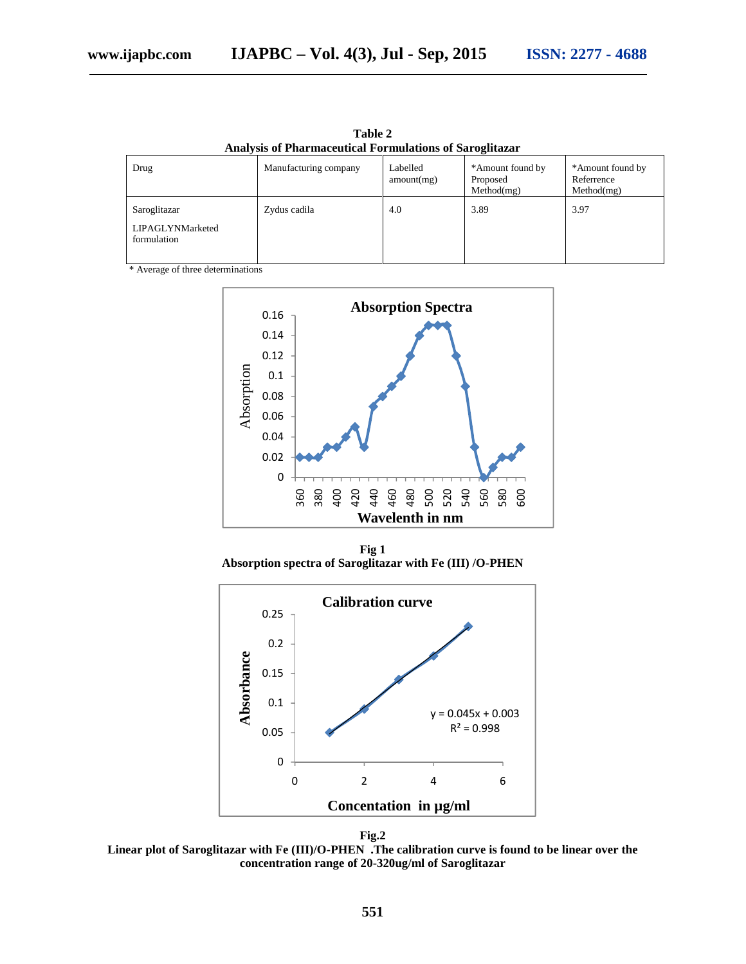| <b>Analysis of Pharmaceutical Formulations of Saroglitazar</b> |                       |                        |                                            |                                              |  |  |  |
|----------------------------------------------------------------|-----------------------|------------------------|--------------------------------------------|----------------------------------------------|--|--|--|
| Drug                                                           | Manufacturing company | Labelled<br>amount(mg) | *Amount found by<br>Proposed<br>Method(mg) | *Amount found by<br>Referrence<br>Method(mg) |  |  |  |
| Saroglitazar<br>LIPAGLYNMarketed<br>formulation                | Zydus cadila          | 4.0                    | 3.89                                       | 3.97                                         |  |  |  |

**Table 2**

\* Average of three determinations



**Fig 1 Absorption spectra of Saroglitazar with Fe (III) /O-PHEN**





**Linear plot of Saroglitazar with Fe (III)/O-PHEN .The calibration curve is found to be linear over the concentration range of 20-320ug/ml of Saroglitazar**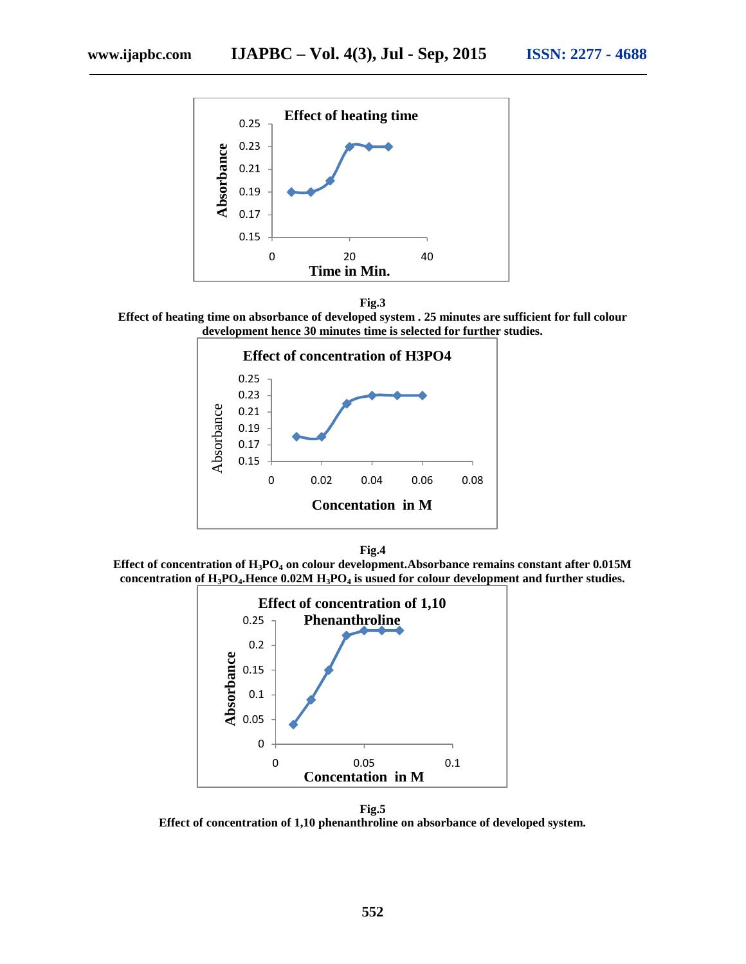



**Effect of heating time on absorbance of developed system . 25 minutes are sufficient for full colour development hence 30 minutes time is selected for further studies.**



**Fig.4**

**Effect of concentration of H3PO<sup>4</sup> on colour development.Absorbance remains constant after 0.015M concentration of H3PO4.Hence 0.02M H3PO<sup>4</sup> is usued for colour development and further studies.**



**Fig.5 Effect of concentration of 1,10 phenanthroline on absorbance of developed system.**